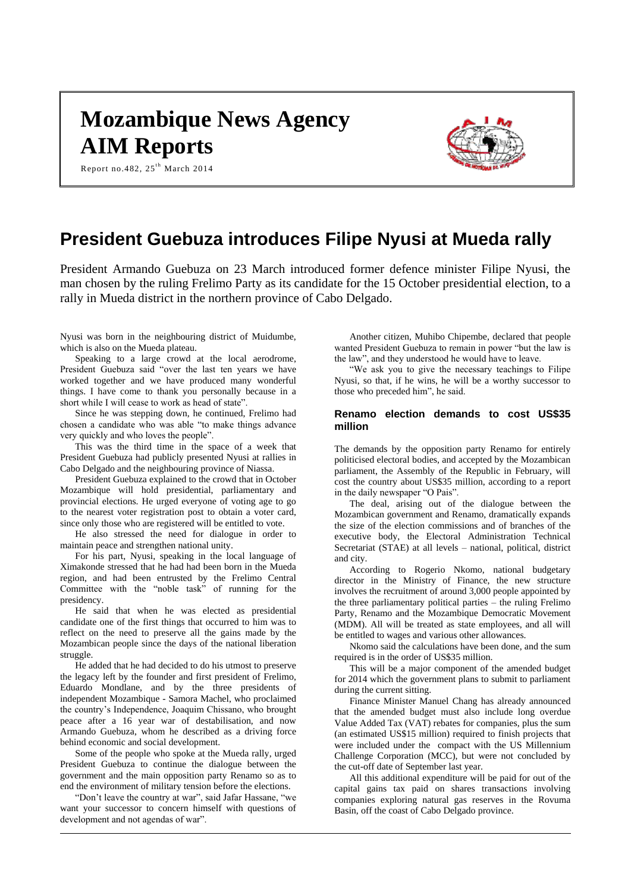# **Mozambique News Agency AIM Reports**





# **President Guebuza introduces Filipe Nyusi at Mueda rally**

President Armando Guebuza on 23 March introduced former defence minister Filipe Nyusi, the man chosen by the ruling Frelimo Party as its candidate for the 15 October presidential election, to a rally in Mueda district in the northern province of Cabo Delgado.

Nyusi was born in the neighbouring district of Muidumbe, which is also on the Mueda plateau.

Speaking to a large crowd at the local aerodrome, President Guebuza said "over the last ten years we have worked together and we have produced many wonderful things. I have come to thank you personally because in a short while I will cease to work as head of state".

Since he was stepping down, he continued, Frelimo had chosen a candidate who was able "to make things advance very quickly and who loves the people".

This was the third time in the space of a week that President Guebuza had publicly presented Nyusi at rallies in Cabo Delgado and the neighbouring province of Niassa.

President Guebuza explained to the crowd that in October Mozambique will hold presidential, parliamentary and provincial elections. He urged everyone of voting age to go to the nearest voter registration post to obtain a voter card, since only those who are registered will be entitled to vote.

He also stressed the need for dialogue in order to maintain peace and strengthen national unity.

For his part, Nyusi, speaking in the local language of Ximakonde stressed that he had had been born in the Mueda region, and had been entrusted by the Frelimo Central Committee with the "noble task" of running for the presidency.

He said that when he was elected as presidential candidate one of the first things that occurred to him was to reflect on the need to preserve all the gains made by the Mozambican people since the days of the national liberation struggle.

He added that he had decided to do his utmost to preserve the legacy left by the founder and first president of Frelimo, Eduardo Mondlane, and by the three presidents of independent Mozambique - Samora Machel, who proclaimed the country's Independence, Joaquim Chissano, who brought peace after a 16 year war of destabilisation, and now Armando Guebuza, whom he described as a driving force behind economic and social development.

Some of the people who spoke at the Mueda rally, urged President Guebuza to continue the dialogue between the government and the main opposition party Renamo so as to end the environment of military tension before the elections.

"Don't leave the country at war", said Jafar Hassane, "we want your successor to concern himself with questions of development and not agendas of war".

Another citizen, Muhibo Chipembe, declared that people wanted President Guebuza to remain in power "but the law is the law", and they understood he would have to leave.

"We ask you to give the necessary teachings to Filipe Nyusi, so that, if he wins, he will be a worthy successor to those who preceded him", he said.

## **Renamo election demands to cost US\$35 million**

The demands by the opposition party Renamo for entirely politicised electoral bodies, and accepted by the Mozambican parliament, the Assembly of the Republic in February, will cost the country about US\$35 million, according to a report in the daily newspaper "O Pais".

The deal, arising out of the dialogue between the Mozambican government and Renamo, dramatically expands the size of the election commissions and of branches of the executive body, the Electoral Administration Technical Secretariat (STAE) at all levels – national, political, district and city.

According to Rogerio Nkomo, national budgetary director in the Ministry of Finance, the new structure involves the recruitment of around 3,000 people appointed by the three parliamentary political parties – the ruling Frelimo Party, Renamo and the Mozambique Democratic Movement (MDM). All will be treated as state employees, and all will be entitled to wages and various other allowances.

Nkomo said the calculations have been done, and the sum required is in the order of US\$35 million.

This will be a major component of the amended budget for 2014 which the government plans to submit to parliament during the current sitting.

Finance Minister Manuel Chang has already announced that the amended budget must also include long overdue Value Added Tax (VAT) rebates for companies, plus the sum (an estimated US\$15 million) required to finish projects that were included under the compact with the US Millennium Challenge Corporation (MCC), but were not concluded by the cut-off date of September last year.

All this additional expenditure will be paid for out of the capital gains tax paid on shares transactions involving companies exploring natural gas reserves in the Rovuma Basin, off the coast of Cabo Delgado province.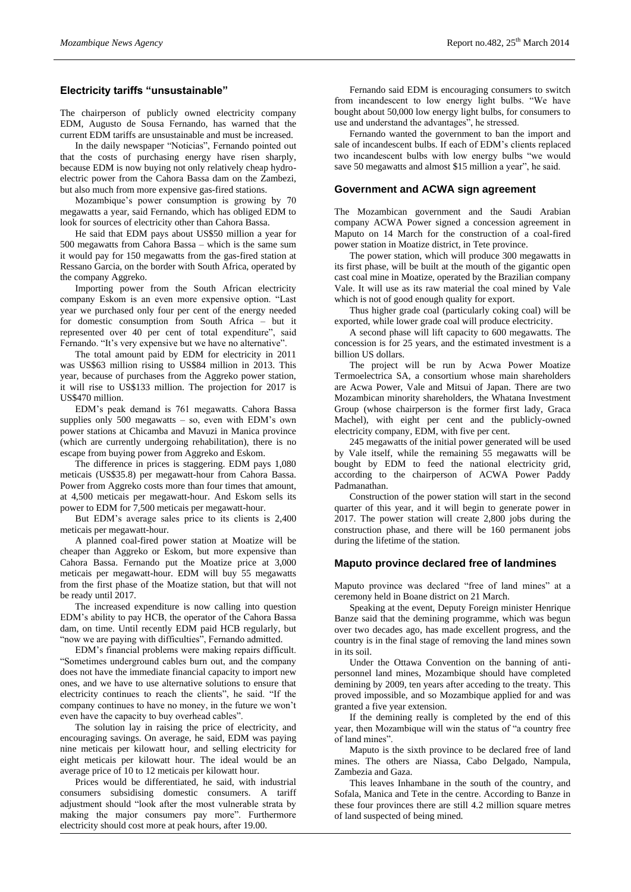# **Electricity tariffs "unsustainable"**

The chairperson of publicly owned electricity company EDM, Augusto de Sousa Fernando, has warned that the current EDM tariffs are unsustainable and must be increased.

In the daily newspaper "Noticias", Fernando pointed out that the costs of purchasing energy have risen sharply, because EDM is now buying not only relatively cheap hydroelectric power from the Cahora Bassa dam on the Zambezi, but also much from more expensive gas-fired stations.

Mozambique's power consumption is growing by 70 megawatts a year, said Fernando, which has obliged EDM to look for sources of electricity other than Cahora Bassa.

He said that EDM pays about US\$50 million a year for 500 megawatts from Cahora Bassa – which is the same sum it would pay for 150 megawatts from the gas-fired station at Ressano Garcia, on the border with South Africa, operated by the company Aggreko.

Importing power from the South African electricity company Eskom is an even more expensive option. "Last year we purchased only four per cent of the energy needed for domestic consumption from South Africa – but it represented over 40 per cent of total expenditure", said Fernando. "It's very expensive but we have no alternative".

The total amount paid by EDM for electricity in 2011 was US\$63 million rising to US\$84 million in 2013. This year, because of purchases from the Aggreko power station, it will rise to US\$133 million. The projection for 2017 is US\$470 million.

EDM's peak demand is 761 megawatts. Cahora Bassa supplies only  $500$  megawatts – so, even with EDM's own power stations at Chicamba and Mavuzi in Manica province (which are currently undergoing rehabilitation), there is no escape from buying power from Aggreko and Eskom.

The difference in prices is staggering. EDM pays 1,080 meticais (US\$35.8) per megawatt-hour from Cahora Bassa. Power from Aggreko costs more than four times that amount, at 4,500 meticais per megawatt-hour. And Eskom sells its power to EDM for 7,500 meticais per megawatt-hour.

But EDM's average sales price to its clients is 2,400 meticais per megawatt-hour.

A planned coal-fired power station at Moatize will be cheaper than Aggreko or Eskom, but more expensive than Cahora Bassa. Fernando put the Moatize price at 3,000 meticais per megawatt-hour. EDM will buy 55 megawatts from the first phase of the Moatize station, but that will not be ready until 2017.

The increased expenditure is now calling into question EDM's ability to pay HCB, the operator of the Cahora Bassa dam, on time. Until recently EDM paid HCB regularly, but "now we are paying with difficulties", Fernando admitted.

EDM's financial problems were making repairs difficult. "Sometimes underground cables burn out, and the company does not have the immediate financial capacity to import new ones, and we have to use alternative solutions to ensure that electricity continues to reach the clients", he said. "If the company continues to have no money, in the future we won't even have the capacity to buy overhead cables".

The solution lay in raising the price of electricity, and encouraging savings. On average, he said, EDM was paying nine meticais per kilowatt hour, and selling electricity for eight meticais per kilowatt hour. The ideal would be an average price of 10 to 12 meticais per kilowatt hour.

Prices would be differentiated, he said, with industrial consumers subsidising domestic consumers. A tariff adjustment should "look after the most vulnerable strata by making the major consumers pay more". Furthermore electricity should cost more at peak hours, after 19.00.

Fernando said EDM is encouraging consumers to switch from incandescent to low energy light bulbs. "We have bought about 50,000 low energy light bulbs, for consumers to use and understand the advantages", he stressed.

Fernando wanted the government to ban the import and sale of incandescent bulbs. If each of EDM's clients replaced two incandescent bulbs with low energy bulbs "we would save 50 megawatts and almost \$15 million a year", he said.

#### **Government and ACWA sign agreement**

The Mozambican government and the Saudi Arabian company ACWA Power signed a concession agreement in Maputo on 14 March for the construction of a coal-fired power station in Moatize district, in Tete province.

The power station, which will produce 300 megawatts in its first phase, will be built at the mouth of the gigantic open cast coal mine in Moatize, operated by the Brazilian company Vale. It will use as its raw material the coal mined by Vale which is not of good enough quality for export.

Thus higher grade coal (particularly coking coal) will be exported, while lower grade coal will produce electricity.

A second phase will lift capacity to 600 megawatts. The concession is for 25 years, and the estimated investment is a billion US dollars.

The project will be run by Acwa Power Moatize Termoelectrica SA, a consortium whose main shareholders are Acwa Power, Vale and Mitsui of Japan. There are two Mozambican minority shareholders, the Whatana Investment Group (whose chairperson is the former first lady, Graca Machel), with eight per cent and the publicly-owned electricity company, EDM, with five per cent.

245 megawatts of the initial power generated will be used by Vale itself, while the remaining 55 megawatts will be bought by EDM to feed the national electricity grid, according to the chairperson of ACWA Power Paddy Padmanathan.

Construction of the power station will start in the second quarter of this year, and it will begin to generate power in 2017. The power station will create 2,800 jobs during the construction phase, and there will be 160 permanent jobs during the lifetime of the station.

#### **Maputo province declared free of landmines**

Maputo province was declared "free of land mines" at a ceremony held in Boane district on 21 March.

Speaking at the event, Deputy Foreign minister Henrique Banze said that the demining programme, which was begun over two decades ago, has made excellent progress, and the country is in the final stage of removing the land mines sown in its soil.

Under the Ottawa Convention on the banning of antipersonnel land mines, Mozambique should have completed demining by 2009, ten years after acceding to the treaty. This proved impossible, and so Mozambique applied for and was granted a five year extension.

If the demining really is completed by the end of this year, then Mozambique will win the status of "a country free of land mines".

Maputo is the sixth province to be declared free of land mines. The others are Niassa, Cabo Delgado, Nampula, Zambezia and Gaza.

This leaves Inhambane in the south of the country, and Sofala, Manica and Tete in the centre. According to Banze in these four provinces there are still 4.2 million square metres of land suspected of being mined.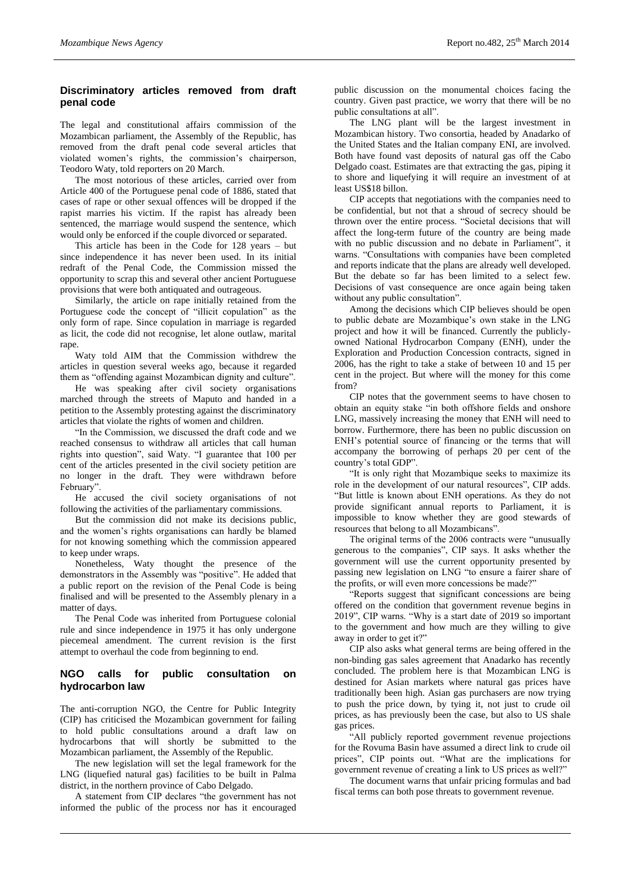# **Discriminatory articles removed from draft penal code**

The legal and constitutional affairs commission of the Mozambican parliament, the Assembly of the Republic, has removed from the draft penal code several articles that violated women's rights, the commission's chairperson, Teodoro Waty, told reporters on 20 March.

The most notorious of these articles, carried over from Article 400 of the Portuguese penal code of 1886, stated that cases of rape or other sexual offences will be dropped if the rapist marries his victim. If the rapist has already been sentenced, the marriage would suspend the sentence, which would only be enforced if the couple divorced or separated.

This article has been in the Code for 128 years – but since independence it has never been used. In its initial redraft of the Penal Code, the Commission missed the opportunity to scrap this and several other ancient Portuguese provisions that were both antiquated and outrageous.

Similarly, the article on rape initially retained from the Portuguese code the concept of "illicit copulation" as the only form of rape. Since copulation in marriage is regarded as licit, the code did not recognise, let alone outlaw, marital rape.

Waty told AIM that the Commission withdrew the articles in question several weeks ago, because it regarded them as "offending against Mozambican dignity and culture".

He was speaking after civil society organisations marched through the streets of Maputo and handed in a petition to the Assembly protesting against the discriminatory articles that violate the rights of women and children.

"In the Commission, we discussed the draft code and we reached consensus to withdraw all articles that call human rights into question", said Waty. "I guarantee that 100 per cent of the articles presented in the civil society petition are no longer in the draft. They were withdrawn before February".

He accused the civil society organisations of not following the activities of the parliamentary commissions.

But the commission did not make its decisions public, and the women's rights organisations can hardly be blamed for not knowing something which the commission appeared to keep under wraps.

Nonetheless, Waty thought the presence of the demonstrators in the Assembly was "positive". He added that a public report on the revision of the Penal Code is being finalised and will be presented to the Assembly plenary in a matter of days.

The Penal Code was inherited from Portuguese colonial rule and since independence in 1975 it has only undergone piecemeal amendment. The current revision is the first attempt to overhaul the code from beginning to end.

## **NGO calls for public consultation on hydrocarbon law**

The anti-corruption NGO, the Centre for Public Integrity (CIP) has criticised the Mozambican government for failing to hold public consultations around a draft law on hydrocarbons that will shortly be submitted to the Mozambican parliament, the Assembly of the Republic.

The new legislation will set the legal framework for the LNG (liquefied natural gas) facilities to be built in Palma district, in the northern province of Cabo Delgado.

A statement from CIP declares "the government has not informed the public of the process nor has it encouraged

public discussion on the monumental choices facing the country. Given past practice, we worry that there will be no public consultations at all".

The LNG plant will be the largest investment in Mozambican history. Two consortia, headed by Anadarko of the United States and the Italian company ENI, are involved. Both have found vast deposits of natural gas off the Cabo Delgado coast. Estimates are that extracting the gas, piping it to shore and liquefying it will require an investment of at least US\$18 billon.

CIP accepts that negotiations with the companies need to be confidential, but not that a shroud of secrecy should be thrown over the entire process. "Societal decisions that will affect the long-term future of the country are being made with no public discussion and no debate in Parliament", it warns. "Consultations with companies have been completed and reports indicate that the plans are already well developed. But the debate so far has been limited to a select few. Decisions of vast consequence are once again being taken without any public consultation".

Among the decisions which CIP believes should be open to public debate are Mozambique's own stake in the LNG project and how it will be financed. Currently the publiclyowned National Hydrocarbon Company (ENH), under the Exploration and Production Concession contracts, signed in 2006, has the right to take a stake of between 10 and 15 per cent in the project. But where will the money for this come from?

CIP notes that the government seems to have chosen to obtain an equity stake "in both offshore fields and onshore LNG, massively increasing the money that ENH will need to borrow. Furthermore, there has been no public discussion on ENH's potential source of financing or the terms that will accompany the borrowing of perhaps 20 per cent of the country's total GDP".

"It is only right that Mozambique seeks to maximize its role in the development of our natural resources", CIP adds. "But little is known about ENH operations. As they do not provide significant annual reports to Parliament, it is impossible to know whether they are good stewards of resources that belong to all Mozambicans".

The original terms of the 2006 contracts were "unusually generous to the companies", CIP says. It asks whether the government will use the current opportunity presented by passing new legislation on LNG "to ensure a fairer share of the profits, or will even more concessions be made?"

"Reports suggest that significant concessions are being offered on the condition that government revenue begins in 2019", CIP warns. "Why is a start date of 2019 so important to the government and how much are they willing to give away in order to get it?"

CIP also asks what general terms are being offered in the non-binding gas sales agreement that Anadarko has recently concluded. The problem here is that Mozambican LNG is destined for Asian markets where natural gas prices have traditionally been high. Asian gas purchasers are now trying to push the price down, by tying it, not just to crude oil prices, as has previously been the case, but also to US shale gas prices.

"All publicly reported government revenue projections for the Rovuma Basin have assumed a direct link to crude oil prices", CIP points out. "What are the implications for government revenue of creating a link to US prices as well?"

The document warns that unfair pricing formulas and bad fiscal terms can both pose threats to government revenue.